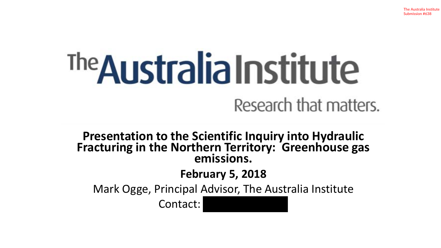# <sup>The</sup>Australia Institute

Research that matters.

**Presentation to the Scientific Inquiry into Hydraulic Fracturing in the Northern Territory: Greenhouse gas emissions.**

**February 5, 2018**

Mark Ogge, Principal Advisor, The Australia Institute

Contact: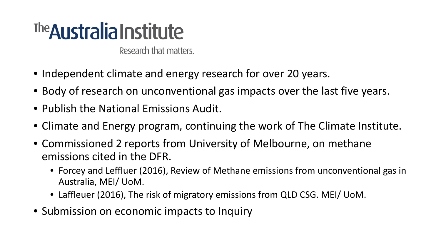## The **Australia Institute**

Research that matters.

- Independent climate and energy research for over 20 years.
- Body of research on unconventional gas impacts over the last five years.
- Publish the National Emissions Audit.
- Climate and Energy program, continuing the work of The Climate Institute.
- Commissioned 2 reports from University of Melbourne, on methane emissions cited in the DFR.
	- Forcey and Leffluer (2016), Review of Methane emissions from unconventional gas in Australia, MEI/ UoM.
	- Laffleuer (2016), The risk of migratory emissions from QLD CSG. MEI/ UoM.
- Submission on economic impacts to Inquiry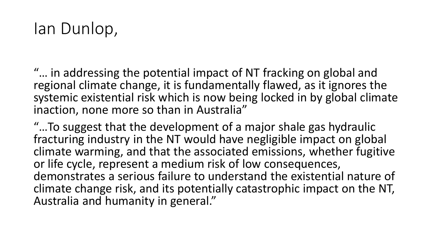## Ian Dunlop,

"… in addressing the potential impact of NT fracking on global and regional climate change, it is fundamentally flawed, as it ignores the systemic existential risk which is now being locked in by global climate inaction, none more so than in Australia"

"…To suggest that the development of a major shale gas hydraulic fracturing industry in the NT would have negligible impact on global climate warming, and that the associated emissions, whether fugitive or life cycle, represent a medium risk of low consequences, demonstrates a serious failure to understand the existential nature of climate change risk, and its potentially catastrophic impact on the NT, Australia and humanity in general."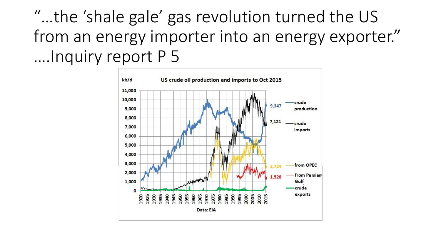"…the 'shale gale' gas revolution turned the US from an energy importer into an energy exporter." ….Inquiry report P 5

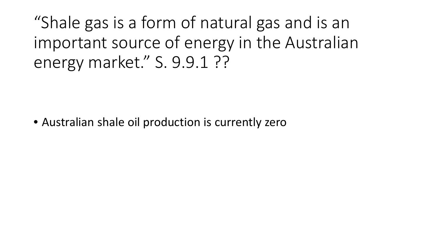"Shale gas is a form of natural gas and is an important source of energy in the Australian energy market." S. 9.9.1 ??

• Australian shale oil production is currently zero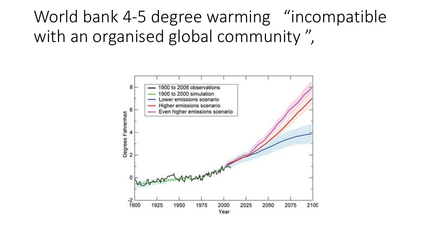World bank 4-5 degree warming "incompatible with an organised global community ",

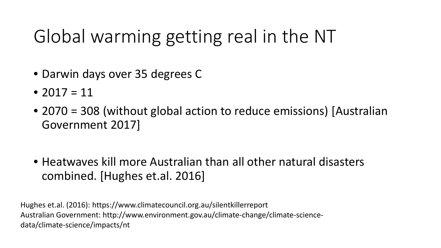## Global warming getting real in the NT

- Darwin days over 35 degrees C
- 2017 = 11
- 2070 = 308 (without global action to reduce emissions) [Australian Government 2017]
- Heatwaves kill more Australian than all other natural disasters combined. [Hughes et.al. 2016]

Hughes et.al. (2016): https://www.climatecouncil.org.au/silentkillerreport Australian Government: http://www.environment.gov.au/climate-change/climate-sciencedata/climate-science/impacts/nt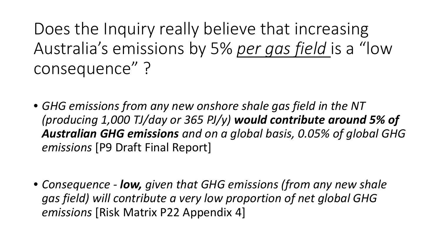Does the Inquiry really believe that increasing Australia's emissions by 5% *per gas field* is a "low consequence" ?

- *GHG emissions from any new onshore shale gas field in the NT (producing 1,000 TJ/day or 365 PJ/y) would contribute around 5% of Australian GHG emissions and on a global basis, 0.05% of global GHG emissions* [P9 Draft Final Report]
- *Consequence - low, given that GHG emissions (from any new shale gas field) will contribute a very low proportion of net global GHG emissions* [Risk Matrix P22 Appendix 4]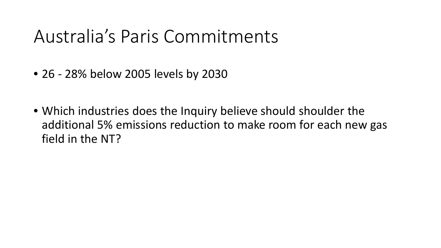## Australia's Paris Commitments

- 26 28% below 2005 levels by 2030
- Which industries does the Inquiry believe should shoulder the additional 5% emissions reduction to make room for each new gas field in the NT?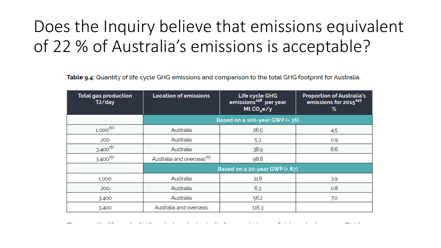## Does the Inquiry believe that emissions equivalent of 22 % of Australia's emissions is acceptable?

Table 9.4: Quantity of life cycle GHG emissions and comparison to the total GHG footprint for Australia.

| <b>Total gas production</b><br>TJ/day | <b>Location of emissions</b>          | Life cycle GHG<br>emissions <sup>148</sup> per year<br>Mt CO <sub>2</sub> e/y | <b>Proportion of Australia's</b><br>emissions for 2015 <sup>149</sup><br>% |
|---------------------------------------|---------------------------------------|-------------------------------------------------------------------------------|----------------------------------------------------------------------------|
|                                       | Based on a 100-year GWP $(=36)$       |                                                                               |                                                                            |
| $1,000^{150}$                         | Australia                             | 26.5                                                                          | 4.5                                                                        |
| 200                                   | Australia                             | 53                                                                            | 0.9                                                                        |
| $3.400^{151}$                         | Australia                             | 38.9                                                                          | 6.6                                                                        |
| $3.400^{152}$                         | Australia and overseas <sup>153</sup> | 98.8                                                                          |                                                                            |
|                                       | Based on a 20-year GWP $(= 87)$       |                                                                               |                                                                            |
| 1,000                                 | Australia                             | 31.6                                                                          | 39                                                                         |
| 200                                   | Australia                             | 6.3                                                                           | 0.8                                                                        |
| 3.400                                 | Australia                             | 56.2                                                                          | 7.0                                                                        |
| 3.400                                 | Australia and overseas                | 116.3                                                                         |                                                                            |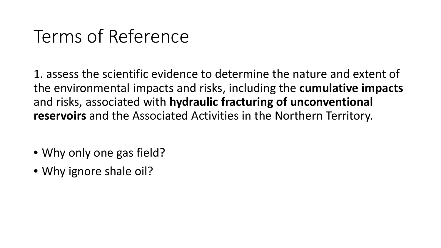## Terms of Reference

1. assess the scientific evidence to determine the nature and extent of the environmental impacts and risks, including the **cumulative impacts** and risks, associated with **hydraulic fracturing of unconventional reservoirs** and the Associated Activities in the Northern Territory.

- Why only one gas field?
- Why ignore shale oil?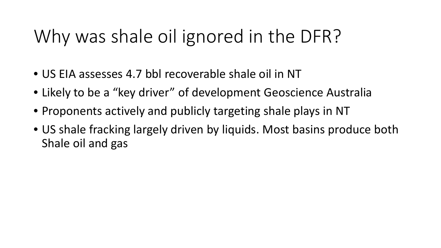## Why was shale oil ignored in the DFR?

- US EIA assesses 4.7 bbl recoverable shale oil in NT
- Likely to be a "key driver" of development Geoscience Australia
- Proponents actively and publicly targeting shale plays in NT
- US shale fracking largely driven by liquids. Most basins produce both Shale oil and gas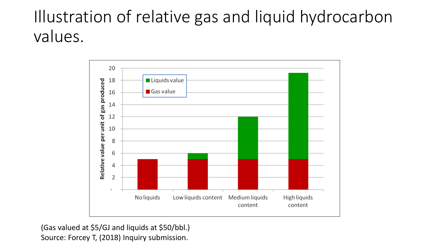## Illustration of relative gas and liquid hydrocarbon values.



(Gas valued at \$5/GJ and liquids at \$50/bbl.) Source: Forcey T, (2018) Inquiry submission.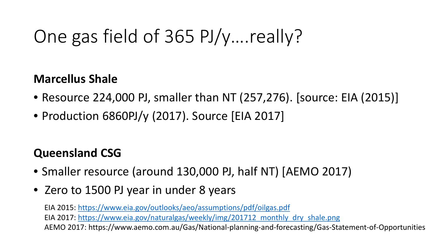## One gas field of 365 PJ/y….really?

#### **Marcellus Shale**

- Resource 224,000 PJ, smaller than NT (257,276). [source: EIA (2015)]
- Production 6860PJ/y (2017). Source [EIA 2017]

### **Queensland CSG**

- Smaller resource (around 130,000 PJ, half NT) [AEMO 2017)
- Zero to 1500 PJ year in under 8 years

EIA 2015: https://www.eia.gov/outlooks/aeo/assumptions/pdf/oilgas.pdf EIA 2017: https://www.eia.gov/naturalgas/weekly/img/201712 monthly dry shale.png AEMO 2017: https://www.aemo.com.au/Gas/National-planning-and-forecasting/Gas-Statement-of-Opportunities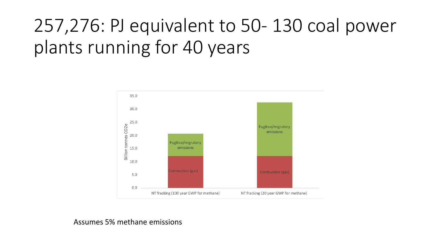## 257,276: PJ equivalent to 50- 130 coal power plants running for 40 years



#### Assumes 5% methane emissions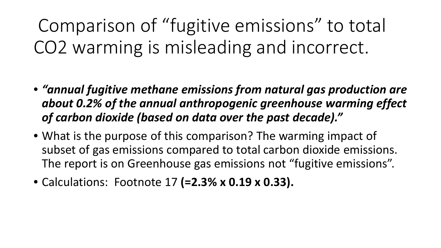Comparison of "fugitive emissions" to total CO2 warming is misleading and incorrect.

- *"annual fugitive methane emissions from natural gas production are about 0.2% of the annual anthropogenic greenhouse warming effect of carbon dioxide (based on data over the past decade)."*
- What is the purpose of this comparison? The warming impact of subset of gas emissions compared to total carbon dioxide emissions. The report is on Greenhouse gas emissions not "fugitive emissions".
- Calculations: Footnote 17 **(=2.3% x 0.19 x 0.33).**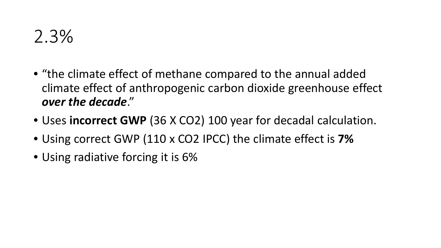- "the climate effect of methane compared to the annual added climate effect of anthropogenic carbon dioxide greenhouse effect *over the decade*."
- Uses **incorrect GWP** (36 X CO2) 100 year for decadal calculation.
- Using correct GWP (110 x CO2 IPCC) the climate effect is **7%**
- Using radiative forcing it is 6%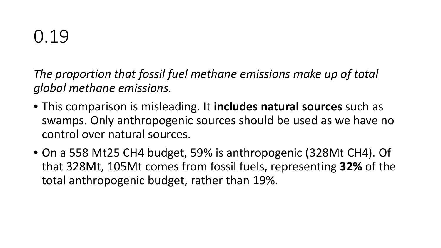*The proportion that fossil fuel methane emissions make up of total global methane emissions.*

- This comparison is misleading. It **includes natural sources** such as swamps. Only anthropogenic sources should be used as we have no control over natural sources.
- On a 558 Mt25 CH4 budget, 59% is anthropogenic (328Mt CH4). Of that 328Mt, 105Mt comes from fossil fuels, representing **32%** of the total anthropogenic budget, rather than 19%.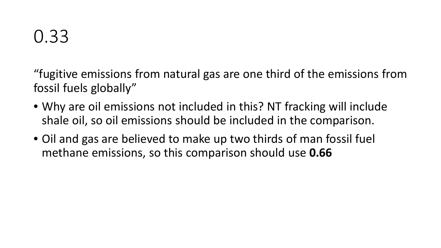"fugitive emissions from natural gas are one third of the emissions from fossil fuels globally"

- Why are oil emissions not included in this? NT fracking will include shale oil, so oil emissions should be included in the comparison.
- Oil and gas are believed to make up two thirds of man fossil fuel methane emissions, so this comparison should use **0.66**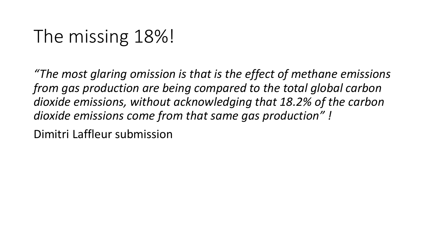## The missing 18%!

*"The most glaring omission is that is the effect of methane emissions from gas production are being compared to the total global carbon dioxide emissions, without acknowledging that 18.2% of the carbon dioxide emissions come from that same gas production" !*

Dimitri Laffleur submission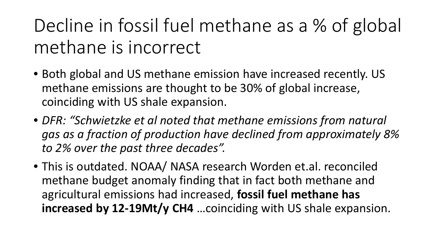Decline in fossil fuel methane as a % of global methane is incorrect

- Both global and US methane emission have increased recently. US methane emissions are thought to be 30% of global increase, coinciding with US shale expansion.
- *DFR: "Schwietzke et al noted that methane emissions from natural gas as a fraction of production have declined from approximately 8% to 2% over the past three decades".*
- This is outdated. NOAA/ NASA research Worden et.al. reconciled methane budget anomaly finding that in fact both methane and agricultural emissions had increased, **fossil fuel methane has increased by 12-19Mt/y CH4** …coinciding with US shale expansion.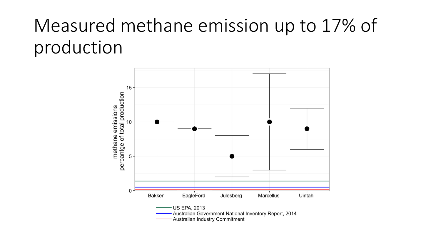## Measured methane emission up to 17% of production

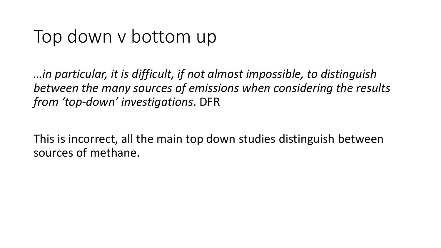## Top down v bottom up

*…in particular, it is difficult, if not almost impossible, to distinguish between the many sources of emissions when considering the results from 'top-down' investigations*. DFR

This is incorrect, all the main top down studies distinguish between sources of methane.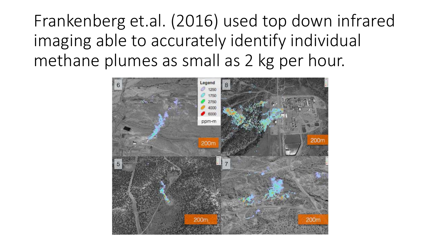Frankenberg et.al. (2016) used top down infrared imaging able to accurately identify individual methane plumes as small as 2 kg per hour.

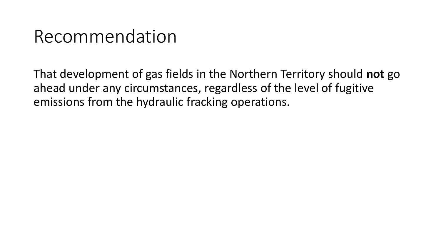## Recommendation

That development of gas fields in the Northern Territory should **not** go ahead under any circumstances, regardless of the level of fugitive emissions from the hydraulic fracking operations.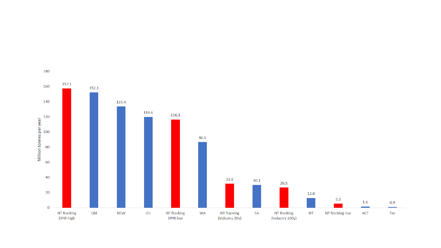